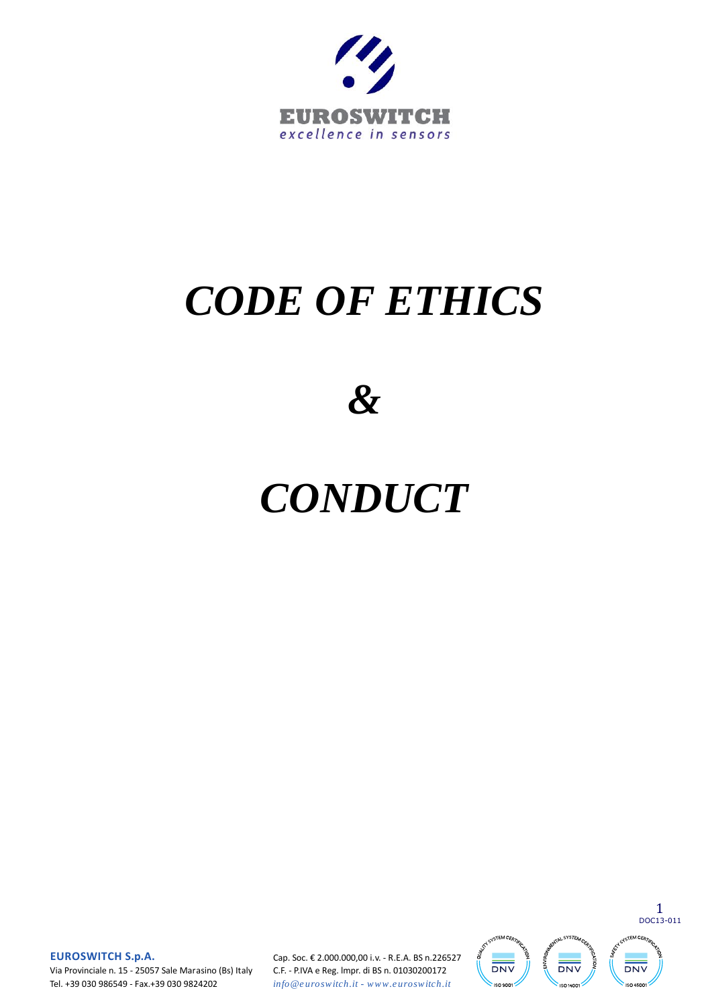

# *CODE OF ETHICS*

*&* 

# *CONDUCT*

1 DOC13-011 **JSTEM CEA NUSYSTEA GTEM CER DNV DNV DNV** ISO 9001 **ISO 1400 ISO 4500** 

**EUROSWITCH S.p.A.**<br>Via Provinciale n. 15 - 25057 Sale Marasino (Bs) Italy<br>Tel. +39.030 986549 - Eax +39.030 9824202 Tel. +39 030 986549 - Fax.+39 030 9824202

 Cap. Soc. € 2.000.000,00 i.v. - R.E.A. BS n.226527 C.F. - P.IVA e Reg. lmpr. di BS n. 01030200172 **Cap. Soc. € 2.000.000,00 i.v. - R.E.A. BS n.2265**<br>**C.F. - P.IVA e Reg. Impr. di BS n. 01030200172**<br>*info @ e uroswitch.it - www.e uroswitch.it*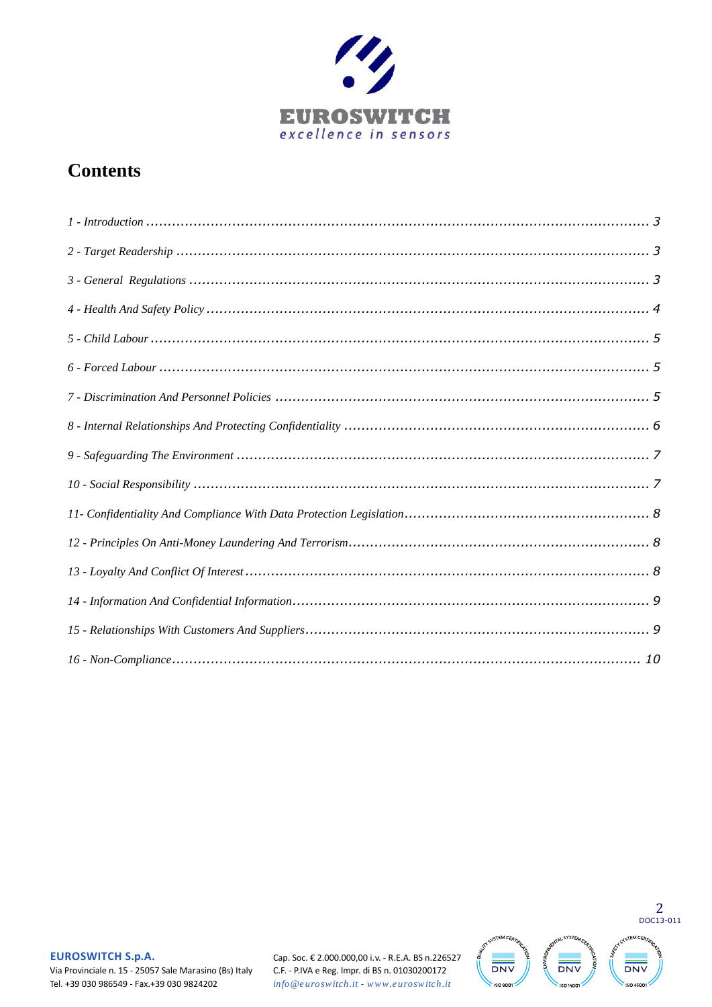

## **Contents**

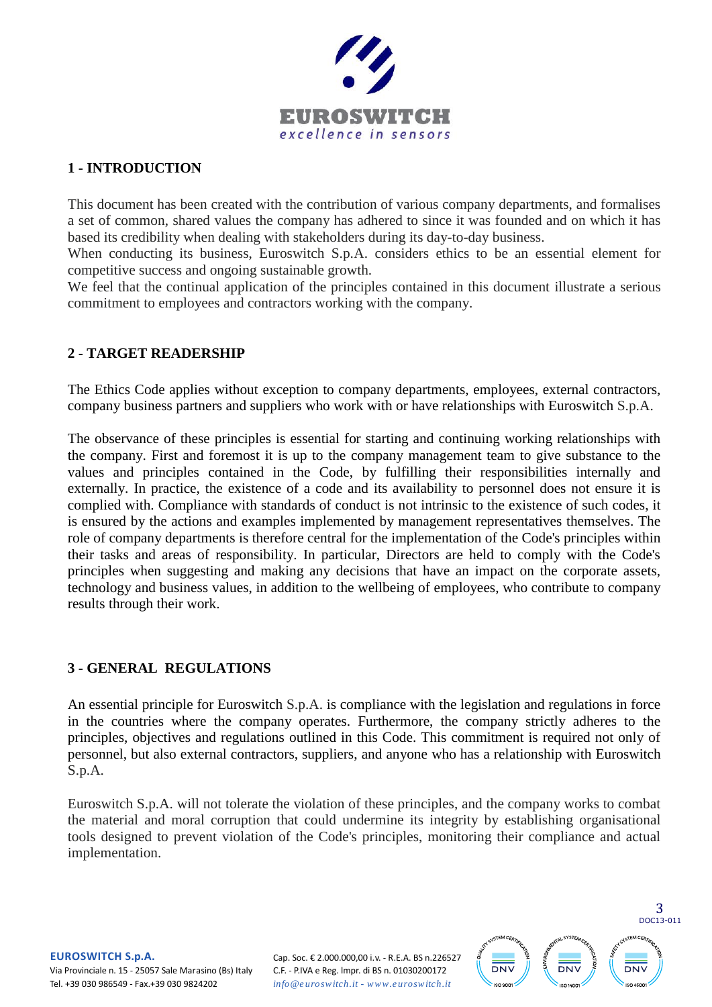

#### <span id="page-2-0"></span>**1 - INTRODUCTION**

This document has been created with the contribution of various company departments, and formalises a set of common, shared values the company has adhered to since it was founded and on which it has based its credibility when dealing with stakeholders during its day-to-day business.

When conducting its business, Euroswitch S.p.A. considers ethics to be an essential element for competitive success and ongoing sustainable growth.

We feel that the continual application of the principles contained in this document illustrate a serious commitment to employees and contractors working with the company.

### <span id="page-2-1"></span>**2 - TARGET READERSHIP**

The Ethics Code applies without exception to company departments, employees, external contractors, company business partners and suppliers who work with or have relationships with Euroswitch S.p.A.

The observance of these principles is essential for starting and continuing working relationships with the company. First and foremost it is up to the company management team to give substance to the values and principles contained in the Code, by fulfilling their responsibilities internally and externally. In practice, the existence of a code and its availability to personnel does not ensure it is complied with. Compliance with standards of conduct is not intrinsic to the existence of such codes, it is ensured by the actions and examples implemented by management representatives themselves. The role of company departments is therefore central for the implementation of the Code's principles within their tasks and areas of responsibility. In particular, Directors are held to comply with the Code's principles when suggesting and making any decisions that have an impact on the corporate assets, technology and business values, in addition to the wellbeing of employees, who contribute to company results through their work.

#### <span id="page-2-2"></span>**3 - GENERAL REGULATIONS**

An essential principle for Euroswitch S.p.A. is compliance with the legislation and regulations in force in the countries where the company operates. Furthermore, the company strictly adheres to the principles, objectives and regulations outlined in this Code. This commitment is required not only of personnel, but also external contractors, suppliers, and anyone who has a relationship with Euroswitch S.p.A.

Euroswitch S.p.A. will not tolerate the violation of these principles, and the company works to combat the material and moral corruption that could undermine its integrity by establishing organisational tools designed to prevent violation of the Code's principles, monitoring their compliance and actual implementation.

## **EUROSWITCH S.p.A.**<br>Via Provinciale n. 15 - 2505<br>Tel +39 030 986549 - Fax + Via Provinciale n. 15 - 25057 Sale Marasino (Bs) Italy Tel. +39 030 986549 - Fax.+39 030 9824202

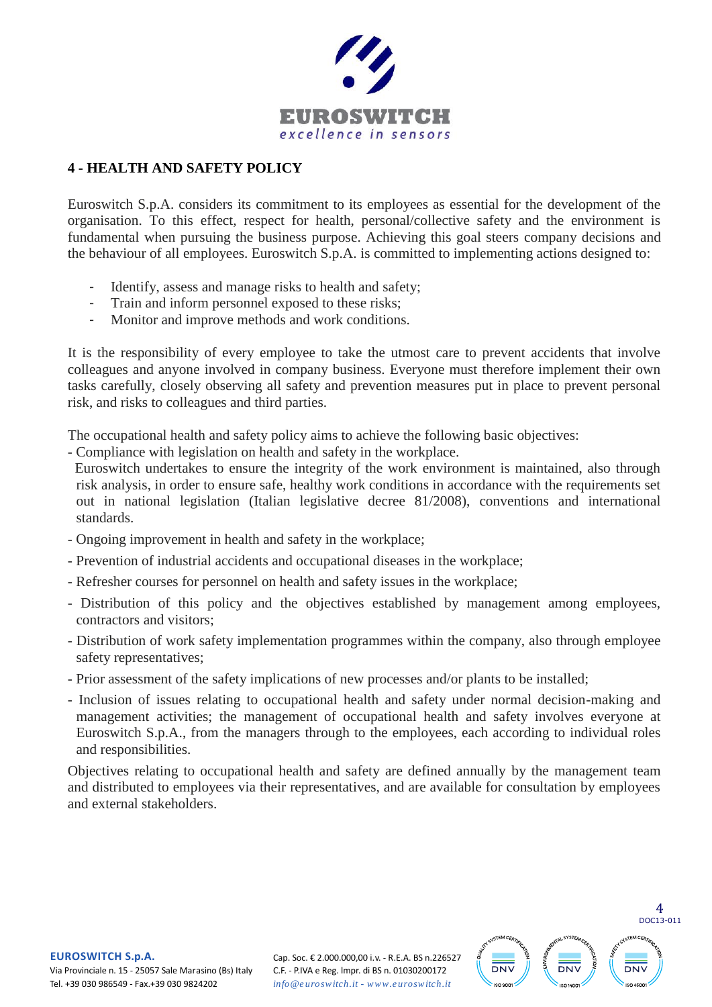

### <span id="page-3-0"></span>**4 - HEALTH AND SAFETY POLICY**

Euroswitch S.p.A. considers its commitment to its employees as essential for the development of the organisation. To this effect, respect for health, personal/collective safety and the environment is fundamental when pursuing the business purpose. Achieving this goal steers company decisions and the behaviour of all employees. Euroswitch S.p.A. is committed to implementing actions designed to:

- Identify, assess and manage risks to health and safety;
- Train and inform personnel exposed to these risks;
- Monitor and improve methods and work conditions.

It is the responsibility of every employee to take the utmost care to prevent accidents that involve colleagues and anyone involved in company business. Everyone must therefore implement their own tasks carefully, closely observing all safety and prevention measures put in place to prevent personal risk, and risks to colleagues and third parties.

The occupational health and safety policy aims to achieve the following basic objectives:

- Compliance with legislation on health and safety in the workplace.

 Euroswitch undertakes to ensure the integrity of the work environment is maintained, also through risk analysis, in order to ensure safe, healthy work conditions in accordance with the requirements set out in national legislation (Italian legislative decree 81/2008), conventions and international standards.

- Ongoing improvement in health and safety in the workplace;
- Prevention of industrial accidents and occupational diseases in the workplace;
- Refresher courses for personnel on health and safety issues in the workplace;
- Distribution of this policy and the objectives established by management among employees, contractors and visitors;
- Distribution of work safety implementation programmes within the company, also through employee safety representatives;
- Prior assessment of the safety implications of new processes and/or plants to be installed;
- Inclusion of issues relating to occupational health and safety under normal decision-making and management activities; the management of occupational health and safety involves everyone at Euroswitch S.p.A., from the managers through to the employees, each according to individual roles and responsibilities.

Objectives relating to occupational health and safety are defined annually by the management team and distributed to employees via their representatives, and are available for consultation by employees and external stakeholders.

**EUROSWITCH S.p.A.**<br>Via Provinciale n. 15 - 2505<br>Tel +39 030 986549 - Fax + Via Provinciale n. 15 - 25057 Sale Marasino (Bs) Italy Tel. +39 030 986549 - Fax.+39 030 9824202

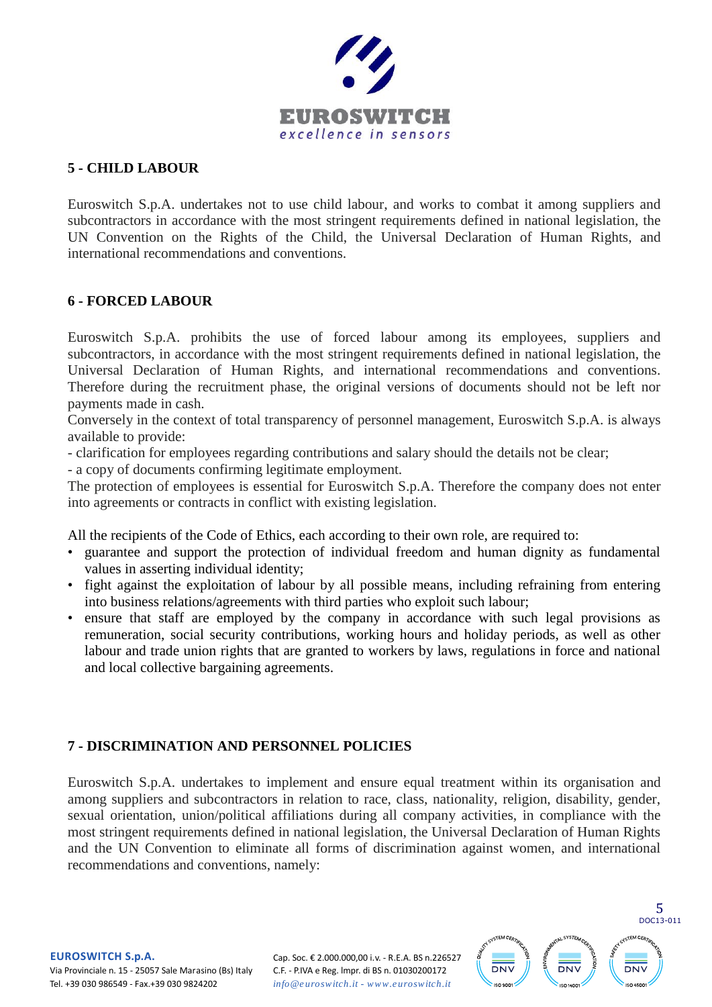

#### <span id="page-4-0"></span>**5 - CHILD LABOUR**

Euroswitch S.p.A. undertakes not to use child labour, and works to combat it among suppliers and subcontractors in accordance with the most stringent requirements defined in national legislation, the UN Convention on the Rights of the Child, the Universal Declaration of Human Rights, and international recommendations and conventions.

#### <span id="page-4-1"></span>**6 - FORCED LABOUR**

Euroswitch S.p.A. prohibits the use of forced labour among its employees, suppliers and subcontractors, in accordance with the most stringent requirements defined in national legislation, the Universal Declaration of Human Rights, and international recommendations and conventions. Therefore during the recruitment phase, the original versions of documents should not be left nor payments made in cash.

Conversely in the context of total transparency of personnel management, Euroswitch S.p.A. is always available to provide:

- clarification for employees regarding contributions and salary should the details not be clear;

- a copy of documents confirming legitimate employment.

The protection of employees is essential for Euroswitch S.p.A. Therefore the company does not enter into agreements or contracts in conflict with existing legislation.

All the recipients of the Code of Ethics, each according to their own role, are required to:

- guarantee and support the protection of individual freedom and human dignity as fundamental values in asserting individual identity;
- fight against the exploitation of labour by all possible means, including refraining from entering into business relations/agreements with third parties who exploit such labour;
- ensure that staff are employed by the company in accordance with such legal provisions as remuneration, social security contributions, working hours and holiday periods, as well as other labour and trade union rights that are granted to workers by laws, regulations in force and national and local collective bargaining agreements.

### <span id="page-4-2"></span>**7 - DISCRIMINATION AND PERSONNEL POLICIES**

Euroswitch S.p.A. undertakes to implement and ensure equal treatment within its organisation and among suppliers and subcontractors in relation to race, class, nationality, religion, disability, gender, sexual orientation, union/political affiliations during all company activities, in compliance with the most stringent requirements defined in national legislation, the Universal Declaration of Human Rights and the UN Convention to eliminate all forms of discrimination against women, and international recommendations and conventions, namely:



**EUROSWITCH S.p.A.**<br>Via Provinciale n. 15 - 2505<br>Tel +39 030 986549 - Fax + Via Provinciale n. 15 - 25057 Sale Marasino (Bs) Italy Tel. +39 030 986549 - Fax.+39 030 9824202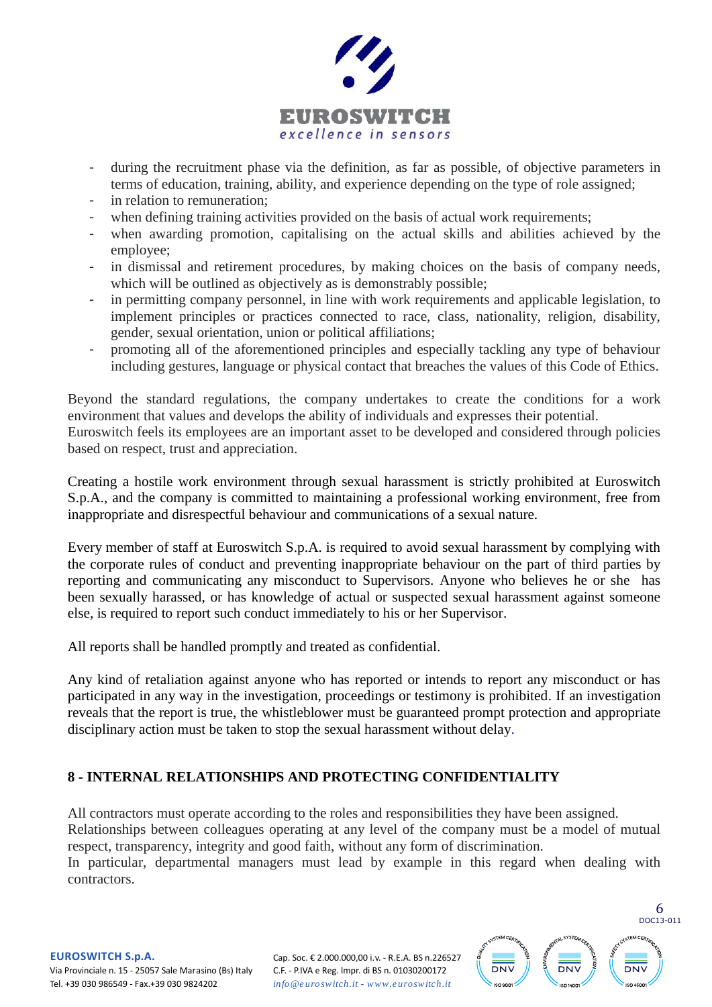

- during the recruitment phase via the definition, as far as possible, of objective parameters in terms of education, training, ability, and experience depending on the type of role assigned;
- in relation to remuneration;
- when defining training activities provided on the basis of actual work requirements;
- when awarding promotion, capitalising on the actual skills and abilities achieved by the employee;
- in dismissal and retirement procedures, by making choices on the basis of company needs, which will be outlined as objectively as is demonstrably possible;
- in permitting company personnel, in line with work requirements and applicable legislation, to implement principles or practices connected to race, class, nationality, religion, disability, gender, sexual orientation, union or political affiliations;
- promoting all of the aforementioned principles and especially tackling any type of behaviour including gestures, language or physical contact that breaches the values of this Code of Ethics.

Beyond the standard regulations, the company undertakes to create the conditions for a work environment that values and develops the ability of individuals and expresses their potential. Euroswitch feels its employees are an important asset to be developed and considered through policies based on respect, trust and appreciation.

Creating a hostile work environment through sexual harassment is strictly prohibited at Euroswitch S.p.A., and the company is committed to maintaining a professional working environment, free from inappropriate and disrespectful behaviour and communications of a sexual nature.

Every member of staff at Euroswitch S.p.A. is required to avoid sexual harassment by complying with the corporate rules of conduct and preventing inappropriate behaviour on the part of third parties by reporting and communicating any misconduct to Supervisors. Anyone who believes he or she has been sexually harassed, or has knowledge of actual or suspected sexual harassment against someone else, is required to report such conduct immediately to his or her Supervisor.

All reports shall be handled promptly and treated as confidential.

Any kind of retaliation against anyone who has reported or intends to report any misconduct or has participated in any way in the investigation, proceedings or testimony is prohibited. If an investigation reveals that the report is true, the whistleblower must be guaranteed prompt protection and appropriate disciplinary action must be taken to stop the sexual harassment without delay.

### <span id="page-5-0"></span>**8 - INTERNAL RELATIONSHIPS AND PROTECTING CONFIDENTIALITY**

All contractors must operate according to the roles and responsibilities they have been assigned. Relationships between colleagues operating at any level of the company must be a model of mutual respect, transparency, integrity and good faith, without any form of discrimination.

In particular, departmental managers must lead by example in this regard when dealing with contractors.



**EUROSWITCH S.p.A.**<br>Via Provinciale n. 15 - 2505<br>Tel +39 030 986549 - Fax + Via Provinciale n. 15 - 25057 Sale Marasino (Bs) Italy Tel. +39 030 986549 - Fax.+39 030 9824202

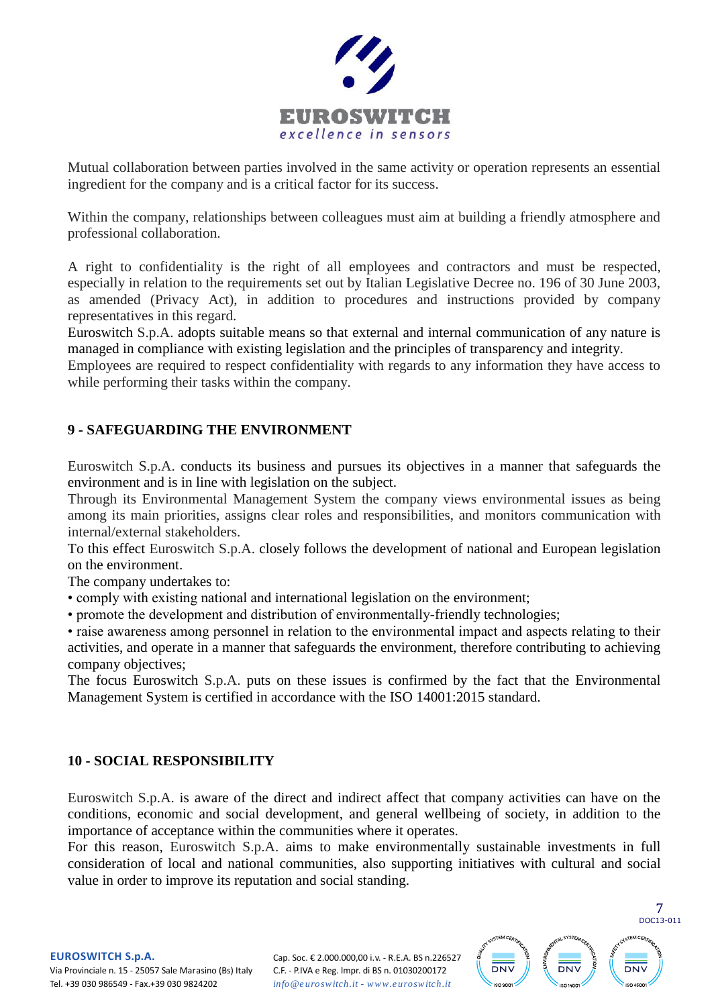

Mutual collaboration between parties involved in the same activity or operation represents an essential ingredient for the company and is a critical factor for its success.

Within the company, relationships between colleagues must aim at building a friendly atmosphere and professional collaboration.

A right to confidentiality is the right of all employees and contractors and must be respected, especially in relation to the requirements set out by Italian Legislative Decree no. 196 of 30 June 2003, as amended (Privacy Act), in addition to procedures and instructions provided by company representatives in this regard.

Euroswitch S.p.A. adopts suitable means so that external and internal communication of any nature is managed in compliance with existing legislation and the principles of transparency and integrity.

Employees are required to respect confidentiality with regards to any information they have access to while performing their tasks within the company.

### <span id="page-6-0"></span>**9 - SAFEGUARDING THE ENVIRONMENT**

Euroswitch S.p.A. conducts its business and pursues its objectives in a manner that safeguards the environment and is in line with legislation on the subject.

Through its Environmental Management System the company views environmental issues as being among its main priorities, assigns clear roles and responsibilities, and monitors communication with internal/external stakeholders.

To this effect Euroswitch S.p.A. closely follows the development of national and European legislation on the environment.

The company undertakes to:

• comply with existing national and international legislation on the environment;

• promote the development and distribution of environmentally-friendly technologies;

• raise awareness among personnel in relation to the environmental impact and aspects relating to their activities, and operate in a manner that safeguards the environment, therefore contributing to achieving company objectives;

The focus Euroswitch S.p.A. puts on these issues is confirmed by the fact that the Environmental Management System is certified in accordance with the ISO 14001:2015 standard.

#### <span id="page-6-1"></span>**10 - SOCIAL RESPONSIBILITY**

Euroswitch S.p.A. is aware of the direct and indirect affect that company activities can have on the conditions, economic and social development, and general wellbeing of society, in addition to the importance of acceptance within the communities where it operates.

For this reason, Euroswitch S.p.A. aims to make environmentally sustainable investments in full consideration of local and national communities, also supporting initiatives with cultural and social value in order to improve its reputation and social standing.



**EUROSWITCH S.p.A.**<br>Via Provinciale n. 15 - 2505<br>Tel +39 030 986549 - Fax + Via Provinciale n. 15 - 25057 Sale Marasino (Bs) Italy Tel. +39 030 986549 - Fax.+39 030 9824202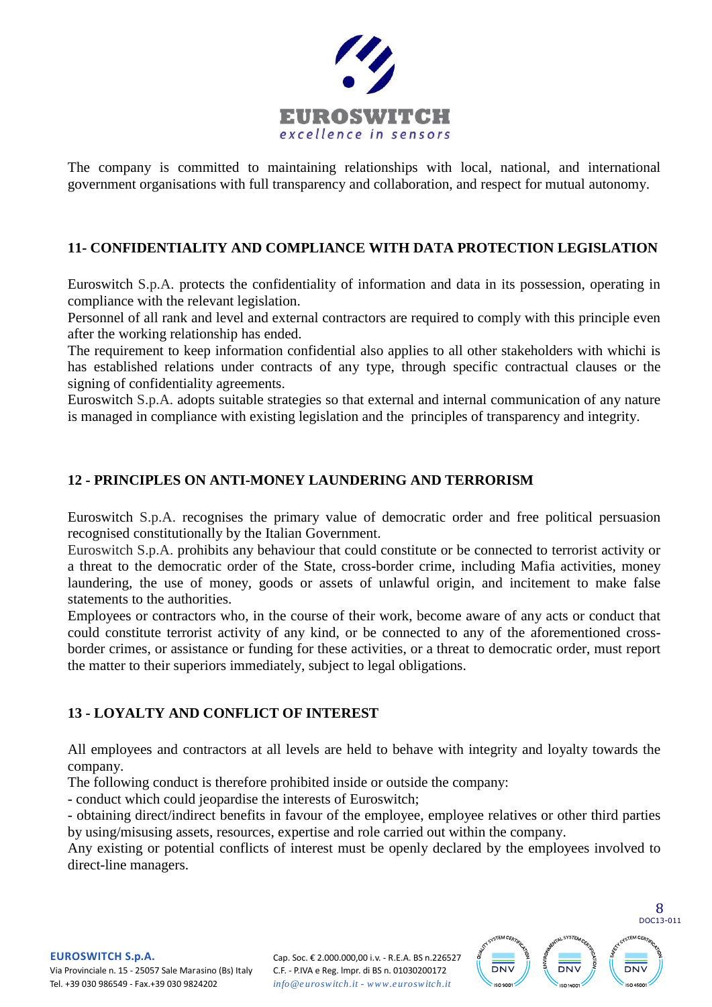

The company is committed to maintaining relationships with local, national, and international government organisations with full transparency and collaboration, and respect for mutual autonomy.

## <span id="page-7-0"></span>**11- CONFIDENTIALITY AND COMPLIANCE WITH DATA PROTECTION LEGISLATION**

Euroswitch S.p.A. protects the confidentiality of information and data in its possession, operating in compliance with the relevant legislation.

Personnel of all rank and level and external contractors are required to comply with this principle even after the working relationship has ended.

The requirement to keep information confidential also applies to all other stakeholders with whichi is has established relations under contracts of any type, through specific contractual clauses or the signing of confidentiality agreements.

Euroswitch S.p.A. adopts suitable strategies so that external and internal communication of any nature is managed in compliance with existing legislation and the principles of transparency and integrity.

## <span id="page-7-1"></span>**12 - PRINCIPLES ON ANTI-MONEY LAUNDERING AND TERRORISM**

Euroswitch S.p.A. recognises the primary value of democratic order and free political persuasion recognised constitutionally by the Italian Government.

Euroswitch S.p.A. prohibits any behaviour that could constitute or be connected to terrorist activity or a threat to the democratic order of the State, cross-border crime, including Mafia activities, money laundering, the use of money, goods or assets of unlawful origin, and incitement to make false statements to the authorities.

Employees or contractors who, in the course of their work, become aware of any acts or conduct that could constitute terrorist activity of any kind, or be connected to any of the aforementioned crossborder crimes, or assistance or funding for these activities, or a threat to democratic order, must report the matter to their superiors immediately, subject to legal obligations.

## <span id="page-7-2"></span>**13 - LOYALTY AND CONFLICT OF INTEREST**

All employees and contractors at all levels are held to behave with integrity and loyalty towards the company.

The following conduct is therefore prohibited inside or outside the company:

- conduct which could jeopardise the interests of Euroswitch;

- obtaining direct/indirect benefits in favour of the employee, employee relatives or other third parties by using/misusing assets, resources, expertise and role carried out within the company.

Any existing or potential conflicts of interest must be openly declared by the employees involved to direct-line managers.



**EUROSWITCH S.p.A.**<br>Via Provinciale n. 15 - 2505<br>Tel +39 030 986549 - Fax + Via Provinciale n. 15 - 25057 Sale Marasino (Bs) Italy Tel. +39 030 986549 - Fax.+39 030 9824202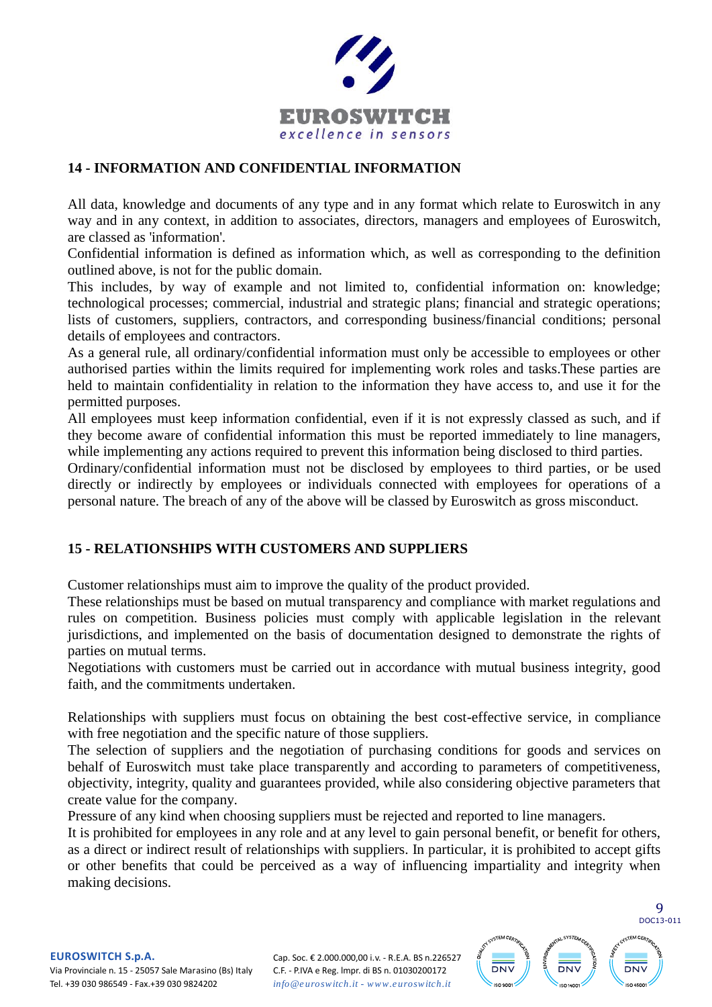

#### <span id="page-8-0"></span>**14 - INFORMATION AND CONFIDENTIAL INFORMATION**

All data, knowledge and documents of any type and in any format which relate to Euroswitch in any way and in any context, in addition to associates, directors, managers and employees of Euroswitch, are classed as 'information'.

Confidential information is defined as information which, as well as corresponding to the definition outlined above, is not for the public domain.

This includes, by way of example and not limited to, confidential information on: knowledge; technological processes; commercial, industrial and strategic plans; financial and strategic operations; lists of customers, suppliers, contractors, and corresponding business/financial conditions; personal details of employees and contractors.

As a general rule, all ordinary/confidential information must only be accessible to employees or other authorised parties within the limits required for implementing work roles and tasks.These parties are held to maintain confidentiality in relation to the information they have access to, and use it for the permitted purposes.

All employees must keep information confidential, even if it is not expressly classed as such, and if they become aware of confidential information this must be reported immediately to line managers, while implementing any actions required to prevent this information being disclosed to third parties.

Ordinary/confidential information must not be disclosed by employees to third parties, or be used directly or indirectly by employees or individuals connected with employees for operations of a personal nature. The breach of any of the above will be classed by Euroswitch as gross misconduct.

### <span id="page-8-1"></span>**15 - RELATIONSHIPS WITH CUSTOMERS AND SUPPLIERS**

Customer relationships must aim to improve the quality of the product provided.

These relationships must be based on mutual transparency and compliance with market regulations and rules on competition. Business policies must comply with applicable legislation in the relevant jurisdictions, and implemented on the basis of documentation designed to demonstrate the rights of parties on mutual terms.

Negotiations with customers must be carried out in accordance with mutual business integrity, good faith, and the commitments undertaken.

Relationships with suppliers must focus on obtaining the best cost-effective service, in compliance with free negotiation and the specific nature of those suppliers.

The selection of suppliers and the negotiation of purchasing conditions for goods and services on behalf of Euroswitch must take place transparently and according to parameters of competitiveness, objectivity, integrity, quality and guarantees provided, while also considering objective parameters that create value for the company.

Pressure of any kind when choosing suppliers must be rejected and reported to line managers.

It is prohibited for employees in any role and at any level to gain personal benefit, or benefit for others, as a direct or indirect result of relationships with suppliers. In particular, it is prohibited to accept gifts or other benefits that could be perceived as a way of influencing impartiality and integrity when making decisions.



**EUROSWITCH S.p.A.**<br>
Via Provinciale n. 15 - 2505<br>
Tel +39 030 986549 - Fax + Via Provinciale n. 15 - 25057 Sale Marasino (Bs) Italy Tel. +39 030 986549 - Fax.+39 030 9824202